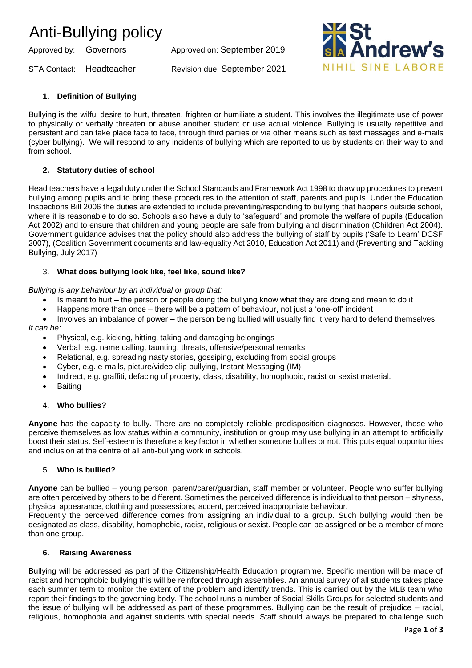## Anti-Bullying policy

Approved by: Governors Approved on: September 2019

STA Contact: Headteacher Revision due: September 2021



## **1. Definition of Bullying**

Bullying is the wilful desire to hurt, threaten, frighten or humiliate a student. This involves the illegitimate use of power to physically or verbally threaten or abuse another student or use actual violence. Bullying is usually repetitive and persistent and can take place face to face, through third parties or via other means such as text messages and e-mails (cyber bullying). We will respond to any incidents of bullying which are reported to us by students on their way to and from school.

### **2. Statutory duties of school**

Head teachers have a legal duty under the School Standards and Framework Act 1998 to draw up procedures to prevent bullying among pupils and to bring these procedures to the attention of staff, parents and pupils. Under the Education Inspections Bill 2006 the duties are extended to include preventing/responding to bullying that happens outside school, where it is reasonable to do so. Schools also have a duty to 'safeguard' and promote the welfare of pupils (Education Act 2002) and to ensure that children and young people are safe from bullying and discrimination (Children Act 2004). Government guidance advises that the policy should also address the bullying of staff by pupils ('Safe to Learn' DCSF 2007), (Coalition Government documents and law-equality Act 2010, Education Act 2011) and (Preventing and Tackling Bullying, July 2017)

#### 3. **What does bullying look like, feel like, sound like?**

*Bullying is any behaviour by an individual or group that:* 

- Is meant to hurt the person or people doing the bullying know what they are doing and mean to do it
- Happens more than once there will be a pattern of behaviour, not just a 'one-off' incident

• Involves an imbalance of power – the person being bullied will usually find it very hard to defend themselves. *It can be:* 

- Physical, e.g. kicking, hitting, taking and damaging belongings
- Verbal, e.g. name calling, taunting, threats, offensive/personal remarks
- Relational, e.g. spreading nasty stories, gossiping, excluding from social groups
- Cyber, e.g. e-mails, picture/video clip bullying, Instant Messaging (IM)
- Indirect, e.g. graffiti, defacing of property, class, disability, homophobic, racist or sexist material.
- **Baiting**

#### 4. **Who bullies?**

**Anyone** has the capacity to bully. There are no completely reliable predisposition diagnoses. However, those who perceive themselves as low status within a community, institution or group may use bullying in an attempt to artificially boost their status. Self-esteem is therefore a key factor in whether someone bullies or not. This puts equal opportunities and inclusion at the centre of all anti-bullying work in schools.

#### 5. **Who is bullied?**

**Anyone** can be bullied – young person, parent/carer/guardian, staff member or volunteer. People who suffer bullying are often perceived by others to be different. Sometimes the perceived difference is individual to that person – shyness, physical appearance, clothing and possessions, accent, perceived inappropriate behaviour.

Frequently the perceived difference comes from assigning an individual to a group. Such bullying would then be designated as class, disability, homophobic, racist, religious or sexist. People can be assigned or be a member of more than one group.

#### **6. Raising Awareness**

Bullying will be addressed as part of the Citizenship/Health Education programme. Specific mention will be made of racist and homophobic bullying this will be reinforced through assemblies. An annual survey of all students takes place each summer term to monitor the extent of the problem and identify trends. This is carried out by the MLB team who report their findings to the governing body. The school runs a number of Social Skills Groups for selected students and the issue of bullying will be addressed as part of these programmes. Bullying can be the result of prejudice – racial, religious, homophobia and against students with special needs. Staff should always be prepared to challenge such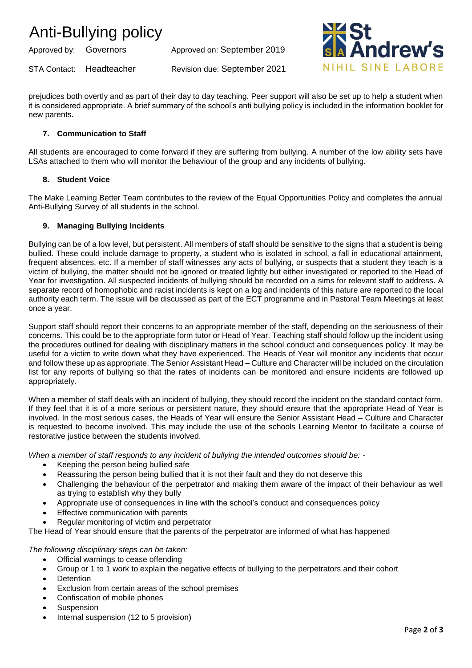## Anti-Bullying policy

Approved by: Governors Approved on: September 2019

STA Contact: Headteacher Revision due: September 2021



prejudices both overtly and as part of their day to day teaching. Peer support will also be set up to help a student when it is considered appropriate. A brief summary of the school's anti bullying policy is included in the information booklet for new parents.

## **7. Communication to Staff**

All students are encouraged to come forward if they are suffering from bullying. A number of the low ability sets have LSAs attached to them who will monitor the behaviour of the group and any incidents of bullying.

### **8. Student Voice**

The Make Learning Better Team contributes to the review of the Equal Opportunities Policy and completes the annual Anti-Bullying Survey of all students in the school.

### **9. Managing Bullying Incidents**

Bullying can be of a low level, but persistent. All members of staff should be sensitive to the signs that a student is being bullied. These could include damage to property, a student who is isolated in school, a fall in educational attainment, frequent absences, etc. If a member of staff witnesses any acts of bullying, or suspects that a student they teach is a victim of bullying, the matter should not be ignored or treated lightly but either investigated or reported to the Head of Year for investigation. All suspected incidents of bullying should be recorded on a sims for relevant staff to address. A separate record of homophobic and racist incidents is kept on a log and incidents of this nature are reported to the local authority each term. The issue will be discussed as part of the ECT programme and in Pastoral Team Meetings at least once a year.

Support staff should report their concerns to an appropriate member of the staff, depending on the seriousness of their concerns. This could be to the appropriate form tutor or Head of Year. Teaching staff should follow up the incident using the procedures outlined for dealing with disciplinary matters in the school conduct and consequences policy. It may be useful for a victim to write down what they have experienced. The Heads of Year will monitor any incidents that occur and follow these up as appropriate. The Senior Assistant Head – Culture and Character will be included on the circulation list for any reports of bullying so that the rates of incidents can be monitored and ensure incidents are followed up appropriately.

When a member of staff deals with an incident of bullying, they should record the incident on the standard contact form. If they feel that it is of a more serious or persistent nature, they should ensure that the appropriate Head of Year is involved. In the most serious cases, the Heads of Year will ensure the Senior Assistant Head – Culture and Character is requested to become involved. This may include the use of the schools Learning Mentor to facilitate a course of restorative justice between the students involved.

*When a member of staff responds to any incident of bullying the intended outcomes should be: -*

- Keeping the person being bullied safe
- Reassuring the person being bullied that it is not their fault and they do not deserve this
- Challenging the behaviour of the perpetrator and making them aware of the impact of their behaviour as well as trying to establish why they bully
- Appropriate use of consequences in line with the school's conduct and consequences policy
- **Effective communication with parents**
- Regular monitoring of victim and perpetrator

The Head of Year should ensure that the parents of the perpetrator are informed of what has happened

*The following disciplinary steps can be taken:* 

- Official warnings to cease offending
- Group or 1 to 1 work to explain the negative effects of bullying to the perpetrators and their cohort
- **Detention**
- Exclusion from certain areas of the school premises
- Confiscation of mobile phones
- **Suspension**
- Internal suspension (12 to 5 provision)